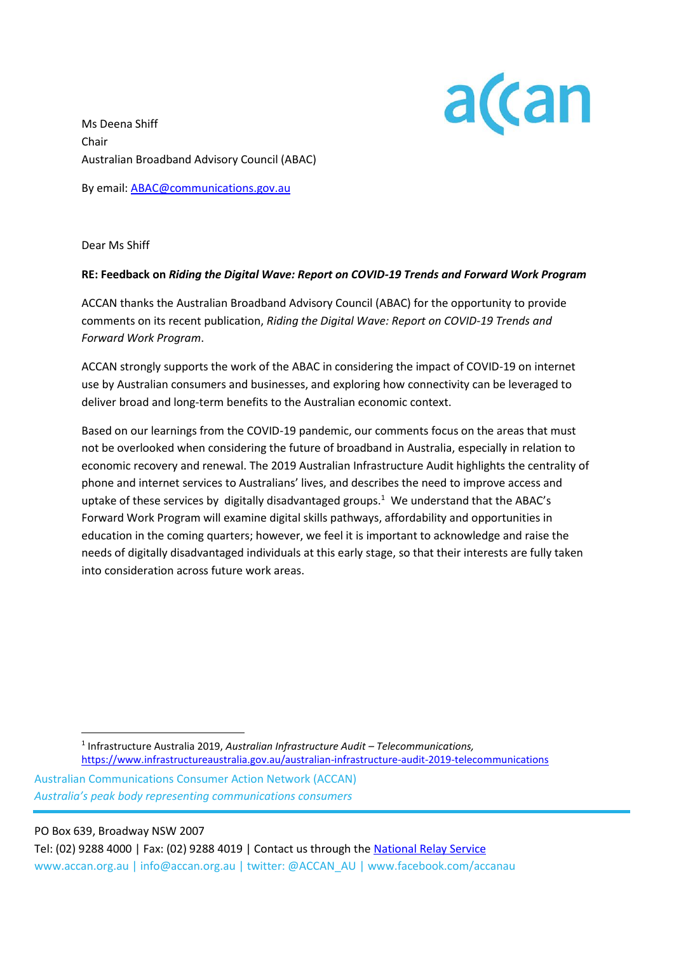

Ms Deena Shiff Chair Australian Broadband Advisory Council (ABAC)

By email: [ABAC@communications.gov.au](mailto:ABAC@communications.gov.au)

Dear Ms Shiff

### **RE: Feedback on** *Riding the Digital Wave: Report on COVID-19 Trends and Forward Work Program*

ACCAN thanks the Australian Broadband Advisory Council (ABAC) for the opportunity to provide comments on its recent publication, *Riding the Digital Wave: Report on COVID-19 Trends and Forward Work Program*.

ACCAN strongly supports the work of the ABAC in considering the impact of COVID-19 on internet use by Australian consumers and businesses, and exploring how connectivity can be leveraged to deliver broad and long-term benefits to the Australian economic context.

Based on our learnings from the COVID-19 pandemic, our comments focus on the areas that must not be overlooked when considering the future of broadband in Australia, especially in relation to economic recovery and renewal. The 2019 Australian Infrastructure Audit highlights the centrality of phone and internet services to Australians' lives, and describes the need to improve access and uptake of these services by digitally disadvantaged groups.<sup>1</sup> We understand that the ABAC's Forward Work Program will examine digital skills pathways, affordability and opportunities in education in the coming quarters; however, we feel it is important to acknowledge and raise the needs of digitally disadvantaged individuals at this early stage, so that their interests are fully taken into consideration across future work areas.

Australian Communications Consumer Action Network (ACCAN) *Australia's peak body representing communications consumers*

PO Box 639, Broadway NSW 2007

Tel: (02) 9288 4000 | Fax: (02) 9288 4019 | Contact us through the [National Relay Service](http://relayservice.gov.au/) www.accan.org.au | info@accan.org.au | twitter: @ACCAN\_AU | www.facebook.com/accanau

<sup>1</sup> Infrastructure Australia 2019, *Australian Infrastructure Audit – Telecommunications,* <https://www.infrastructureaustralia.gov.au/australian-infrastructure-audit-2019-telecommunications>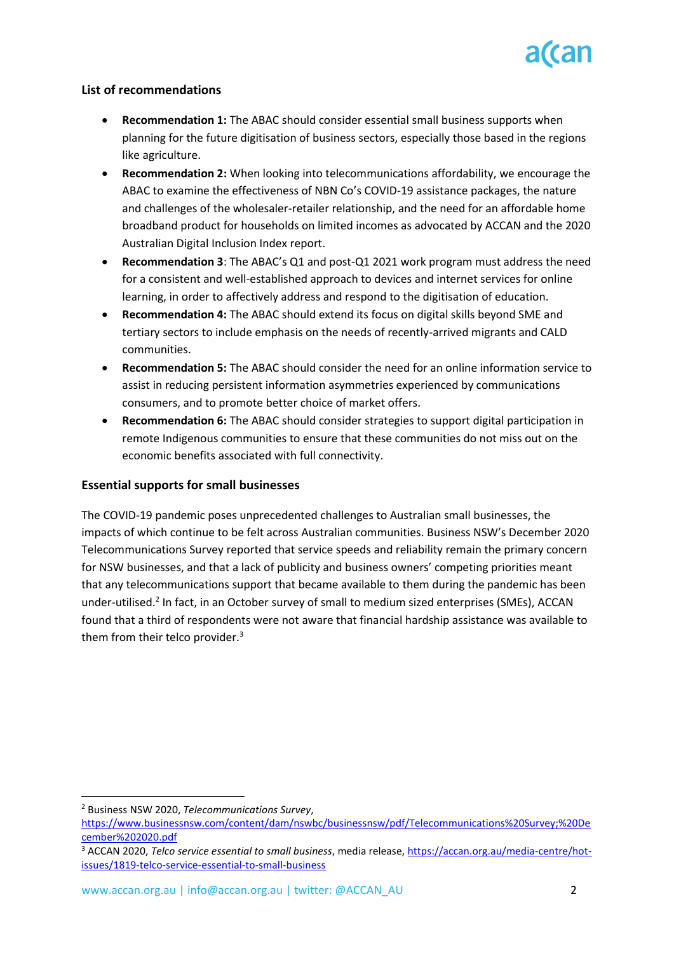# **List of recommendations**

- **Recommendation 1:** The ABAC should consider essential small business supports when planning for the future digitisation of business sectors, especially those based in the regions like agriculture.
- **Recommendation 2:** When looking into telecommunications affordability, we encourage the ABAC to examine the effectiveness of NBN Co's COVID-19 assistance packages, the nature and challenges of the wholesaler-retailer relationship, and the need for an affordable home broadband product for households on limited incomes as advocated by ACCAN and the 2020 Australian Digital Inclusion Index report.
- **Recommendation 3**: The ABAC's Q1 and post-Q1 2021 work program must address the need for a consistent and well-established approach to devices and internet services for online learning, in order to affectively address and respond to the digitisation of education.
- **Recommendation 4:** The ABAC should extend its focus on digital skills beyond SME and tertiary sectors to include emphasis on the needs of recently-arrived migrants and CALD communities.
- **Recommendation 5:** The ABAC should consider the need for an online information service to assist in reducing persistent information asymmetries experienced by communications consumers, and to promote better choice of market offers.
- **Recommendation 6:** The ABAC should consider strategies to support digital participation in remote Indigenous communities to ensure that these communities do not miss out on the economic benefits associated with full connectivity.

# **Essential supports for small businesses**

The COVID-19 pandemic poses unprecedented challenges to Australian small businesses, the impacts of which continue to be felt across Australian communities. Business NSW's December 2020 Telecommunications Survey reported that service speeds and reliability remain the primary concern for NSW businesses, and that a lack of publicity and business owners' competing priorities meant that any telecommunications support that became available to them during the pandemic has been under-utilised.<sup>2</sup> In fact, in an October survey of small to medium sized enterprises (SMEs), ACCAN found that a third of respondents were not aware that financial hardship assistance was available to them from their telco provider.<sup>3</sup>

<sup>2</sup> Business NSW 2020, *Telecommunications Survey*,

[https://www.businessnsw.com/content/dam/nswbc/businessnsw/pdf/Telecommunications%20Survey;%20De](https://www.businessnsw.com/content/dam/nswbc/businessnsw/pdf/Telecommunications%20Survey;%20December%202020.pdf) [cember%202020.pdf](https://www.businessnsw.com/content/dam/nswbc/businessnsw/pdf/Telecommunications%20Survey;%20December%202020.pdf)

<sup>3</sup> ACCAN 2020, *Telco service essential to small business*, media release, [https://accan.org.au/media-centre/hot](https://accan.org.au/media-centre/hot-issues/1819-telco-service-essential-to-small-business)[issues/1819-telco-service-essential-to-small-business](https://accan.org.au/media-centre/hot-issues/1819-telco-service-essential-to-small-business)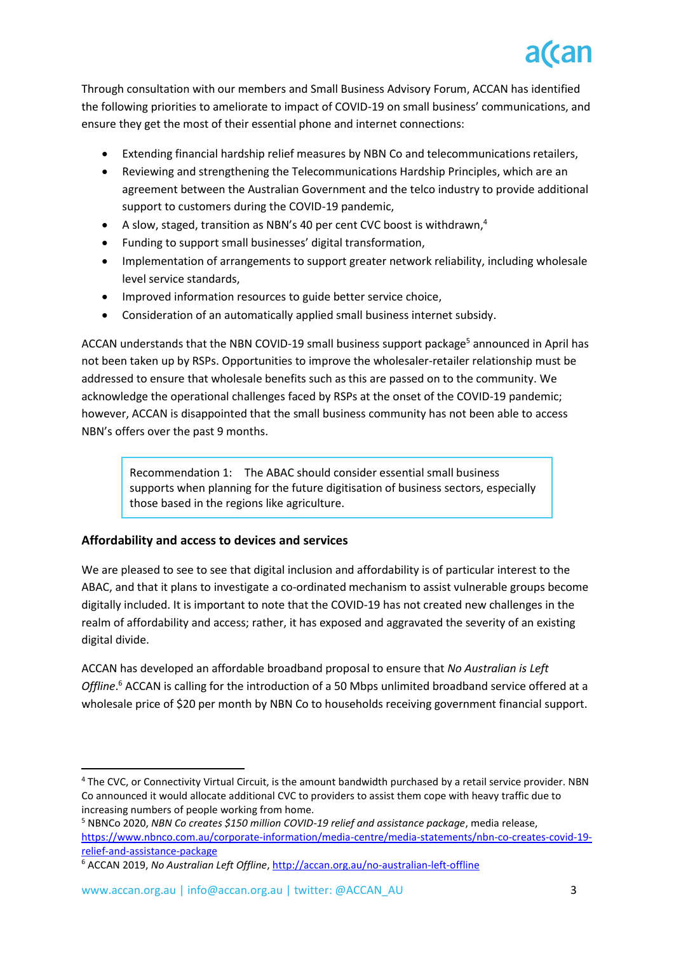

Through consultation with our members and Small Business Advisory Forum, ACCAN has identified the following priorities to ameliorate to impact of COVID-19 on small business' communications, and ensure they get the most of their essential phone and internet connections:

- Extending financial hardship relief measures by NBN Co and telecommunications retailers,
- Reviewing and strengthening the Telecommunications Hardship Principles, which are an agreement between the Australian Government and the telco industry to provide additional support to customers during the COVID-19 pandemic,
- A slow, staged, transition as NBN's 40 per cent CVC boost is withdrawn,<sup>4</sup>
- Funding to support small businesses' digital transformation,
- Implementation of arrangements to support greater network reliability, including wholesale level service standards,
- Improved information resources to guide better service choice,
- Consideration of an automatically applied small business internet subsidy.

ACCAN understands that the NBN COVID-19 small business support package<sup>5</sup> announced in April has not been taken up by RSPs. Opportunities to improve the wholesaler-retailer relationship must be addressed to ensure that wholesale benefits such as this are passed on to the community. We acknowledge the operational challenges faced by RSPs at the onset of the COVID-19 pandemic; however, ACCAN is disappointed that the small business community has not been able to access NBN's offers over the past 9 months.

Recommendation 1: The ABAC should consider essential small business supports when planning for the future digitisation of business sectors, especially those based in the regions like agriculture.

### **Affordability and access to devices and services**

We are pleased to see to see that digital inclusion and affordability is of particular interest to the ABAC, and that it plans to investigate a co-ordinated mechanism to assist vulnerable groups become digitally included. It is important to note that the COVID-19 has not created new challenges in the realm of affordability and access; rather, it has exposed and aggravated the severity of an existing digital divide.

ACCAN has developed an affordable broadband proposal to ensure that *No Australian is Left Offline*. <sup>6</sup> ACCAN is calling for the introduction of a 50 Mbps unlimited broadband service offered at a wholesale price of \$20 per month by NBN Co to households receiving government financial support.

<sup>4</sup> The CVC, or Connectivity Virtual Circuit, is the amount bandwidth purchased by a retail service provider. NBN Co announced it would allocate additional CVC to providers to assist them cope with heavy traffic due to increasing numbers of people working from home.

<sup>5</sup> NBNCo 2020, *NBN Co creates \$150 million COVID-19 relief and assistance package*, media release, [https://www.nbnco.com.au/corporate-information/media-centre/media-statements/nbn-co-creates-covid-19](https://www.nbnco.com.au/corporate-information/media-centre/media-statements/nbn-co-creates-covid-19-relief-and-assistance-package) [relief-and-assistance-package](https://www.nbnco.com.au/corporate-information/media-centre/media-statements/nbn-co-creates-covid-19-relief-and-assistance-package)

<sup>6</sup> ACCAN 2019, *No Australian Left Offline*,<http://accan.org.au/no-australian-left-offline>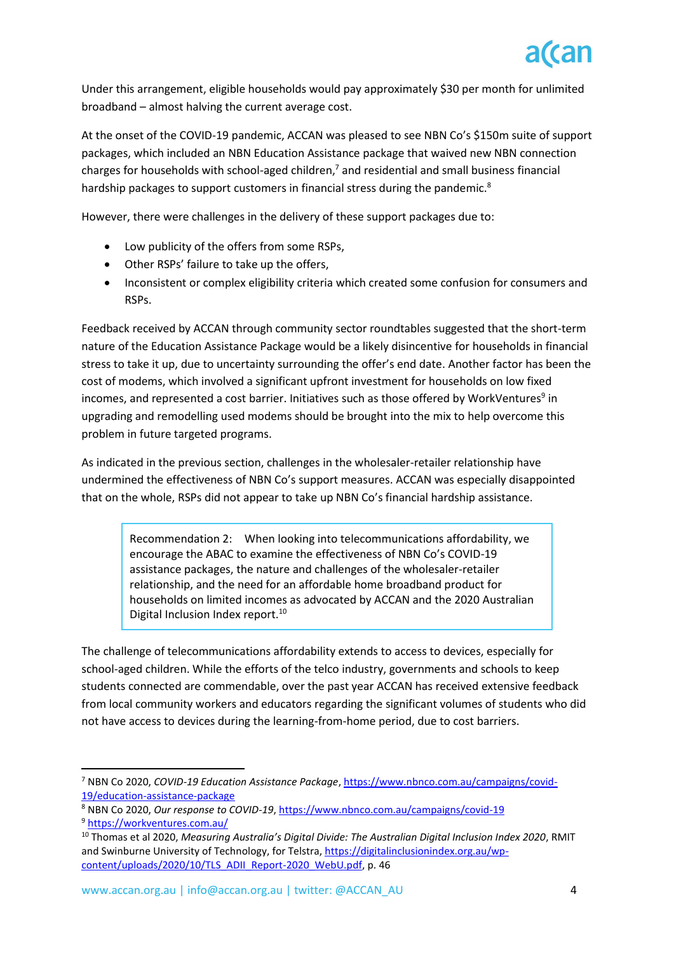Under this arrangement, eligible households would pay approximately \$30 per month for unlimited broadband – almost halving the current average cost.

At the onset of the COVID-19 pandemic, ACCAN was pleased to see NBN Co's \$150m suite of support packages, which included an NBN Education Assistance package that waived new NBN connection charges for households with school-aged children, <sup>7</sup> and residential and small business financial hardship packages to support customers in financial stress during the pandemic.<sup>8</sup>

However, there were challenges in the delivery of these support packages due to:

- Low publicity of the offers from some RSPs,
- Other RSPs' failure to take up the offers,
- Inconsistent or complex eligibility criteria which created some confusion for consumers and RSPs.

Feedback received by ACCAN through community sector roundtables suggested that the short-term nature of the Education Assistance Package would be a likely disincentive for households in financial stress to take it up, due to uncertainty surrounding the offer's end date. Another factor has been the cost of modems, which involved a significant upfront investment for households on low fixed incomes, and represented a cost barrier. Initiatives such as those offered by WorkVentures<sup>9</sup> in upgrading and remodelling used modems should be brought into the mix to help overcome this problem in future targeted programs.

As indicated in the previous section, challenges in the wholesaler-retailer relationship have undermined the effectiveness of NBN Co's support measures. ACCAN was especially disappointed that on the whole, RSPs did not appear to take up NBN Co's financial hardship assistance.

Recommendation 2: When looking into telecommunications affordability, we encourage the ABAC to examine the effectiveness of NBN Co's COVID-19 assistance packages, the nature and challenges of the wholesaler-retailer relationship, and the need for an affordable home broadband product for households on limited incomes as advocated by ACCAN and the 2020 Australian Digital Inclusion Index report.<sup>10</sup>

The challenge of telecommunications affordability extends to access to devices, especially for school-aged children. While the efforts of the telco industry, governments and schools to keep students connected are commendable, over the past year ACCAN has received extensive feedback from local community workers and educators regarding the significant volumes of students who did not have access to devices during the learning-from-home period, due to cost barriers.

<sup>7</sup> NBN Co 2020, *COVID-19 Education Assistance Package*[, https://www.nbnco.com.au/campaigns/covid-](https://www.nbnco.com.au/campaigns/covid-19/education-assistance-package)[19/education-assistance-package](https://www.nbnco.com.au/campaigns/covid-19/education-assistance-package)

<sup>8</sup> NBN Co 2020, *Our response to COVID-19*, <https://www.nbnco.com.au/campaigns/covid-19> <sup>9</sup> <https://workventures.com.au/>

<sup>10</sup> Thomas et al 2020, *Measuring Australia's Digital Divide: The Australian Digital Inclusion Index 2020*, RMIT and Swinburne University of Technology, for Telstra, [https://digitalinclusionindex.org.au/wp](https://digitalinclusionindex.org.au/wp-content/uploads/2020/10/TLS_ADII_Report-2020_WebU.pdf)[content/uploads/2020/10/TLS\\_ADII\\_Report-2020\\_WebU.pdf,](https://digitalinclusionindex.org.au/wp-content/uploads/2020/10/TLS_ADII_Report-2020_WebU.pdf) p. 46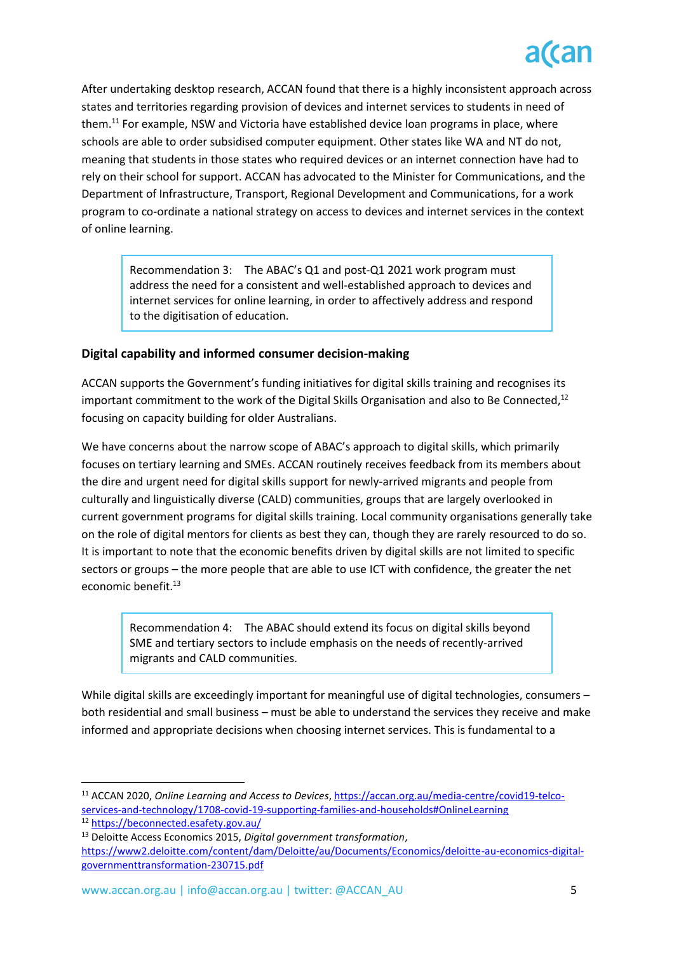After undertaking desktop research, ACCAN found that there is a highly inconsistent approach across states and territories regarding provision of devices and internet services to students in need of them.<sup>11</sup> For example, NSW and Victoria have established device loan programs in place, where schools are able to order subsidised computer equipment. Other states like WA and NT do not, meaning that students in those states who required devices or an internet connection have had to rely on their school for support. ACCAN has advocated to the Minister for Communications, and the Department of Infrastructure, Transport, Regional Development and Communications, for a work program to co-ordinate a national strategy on access to devices and internet services in the context of online learning.

Recommendation 3: The ABAC's Q1 and post-Q1 2021 work program must address the need for a consistent and well-established approach to devices and internet services for online learning, in order to affectively address and respond to the digitisation of education.

# **Digital capability and informed consumer decision-making**

ACCAN supports the Government's funding initiatives for digital skills training and recognises its important commitment to the work of the Digital Skills Organisation and also to Be Connected, $12$ focusing on capacity building for older Australians.

We have concerns about the narrow scope of ABAC's approach to digital skills, which primarily focuses on tertiary learning and SMEs. ACCAN routinely receives feedback from its members about the dire and urgent need for digital skills support for newly-arrived migrants and people from culturally and linguistically diverse (CALD) communities, groups that are largely overlooked in current government programs for digital skills training. Local community organisations generally take on the role of digital mentors for clients as best they can, though they are rarely resourced to do so. It is important to note that the economic benefits driven by digital skills are not limited to specific sectors or groups – the more people that are able to use ICT with confidence, the greater the net economic benefit.<sup>13</sup>

Recommendation 4: The ABAC should extend its focus on digital skills beyond SME and tertiary sectors to include emphasis on the needs of recently-arrived migrants and CALD communities.

While digital skills are exceedingly important for meaningful use of digital technologies, consumers both residential and small business – must be able to understand the services they receive and make informed and appropriate decisions when choosing internet services. This is fundamental to a

<sup>11</sup> ACCAN 2020, *Online Learning and Access to Devices*[, https://accan.org.au/media-centre/covid19-telco](https://accan.org.au/media-centre/covid19-telco-services-and-technology/1708-covid-19-supporting-families-and-households#OnlineLearning)[services-and-technology/1708-covid-19-supporting-families-and-households#OnlineLearning](https://accan.org.au/media-centre/covid19-telco-services-and-technology/1708-covid-19-supporting-families-and-households#OnlineLearning)

<sup>12</sup> <https://beconnected.esafety.gov.au/>

<sup>13</sup> Deloitte Access Economics 2015, *Digital government transformation*,

[https://www2.deloitte.com/content/dam/Deloitte/au/Documents/Economics/deloitte-au-economics-digital](https://www2.deloitte.com/content/dam/Deloitte/au/Documents/Economics/deloitte-au-economics-digital-governmenttransformation-230715.pdf)[governmenttransformation-230715.pdf](https://www2.deloitte.com/content/dam/Deloitte/au/Documents/Economics/deloitte-au-economics-digital-governmenttransformation-230715.pdf)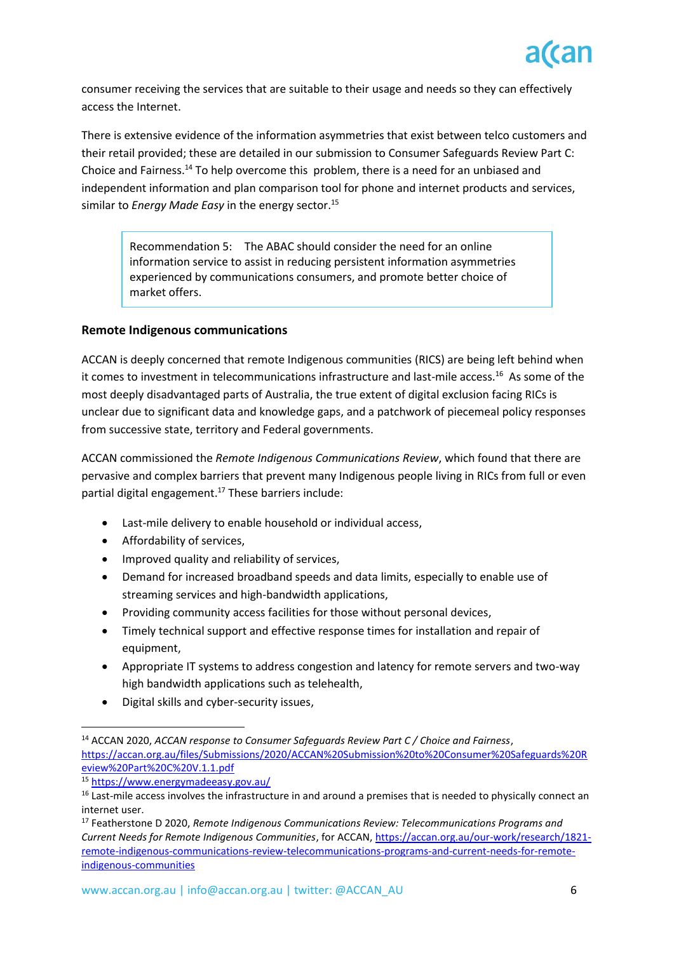

consumer receiving the services that are suitable to their usage and needs so they can effectively access the Internet.

There is extensive evidence of the information asymmetries that exist between telco customers and their retail provided; these are detailed in our submission to Consumer Safeguards Review Part C: Choice and Fairness.<sup>14</sup> To help overcome this problem, there is a need for an unbiased and independent information and plan comparison tool for phone and internet products and services, similar to *Energy Made Easy* in the energy sector.<sup>15</sup>

Recommendation 5: The ABAC should consider the need for an online information service to assist in reducing persistent information asymmetries experienced by communications consumers, and promote better choice of market offers.

### **Remote Indigenous communications**

ACCAN is deeply concerned that remote Indigenous communities (RICS) are being left behind when it comes to investment in telecommunications infrastructure and last-mile access.<sup>16</sup> As some of the most deeply disadvantaged parts of Australia, the true extent of digital exclusion facing RICs is unclear due to significant data and knowledge gaps, and a patchwork of piecemeal policy responses from successive state, territory and Federal governments.

ACCAN commissioned the *Remote Indigenous Communications Review*, which found that there are pervasive and complex barriers that prevent many Indigenous people living in RICs from full or even partial digital engagement.<sup>17</sup> These barriers include:

- Last-mile delivery to enable household or individual access,
- Affordability of services,
- Improved quality and reliability of services,
- Demand for increased broadband speeds and data limits, especially to enable use of streaming services and high-bandwidth applications,
- Providing community access facilities for those without personal devices,
- Timely technical support and effective response times for installation and repair of equipment,
- Appropriate IT systems to address congestion and latency for remote servers and two-way high bandwidth applications such as telehealth,
- Digital skills and cyber-security issues,

<sup>14</sup> ACCAN 2020, *ACCAN response to Consumer Safeguards Review Part C / Choice and Fairness*, [https://accan.org.au/files/Submissions/2020/ACCAN%20Submission%20to%20Consumer%20Safeguards%20R](https://accan.org.au/files/Submissions/2020/ACCAN%20Submission%20to%20Consumer%20Safeguards%20Review%20Part%20C%20V.1.1.pdf) [eview%20Part%20C%20V.1.1.pdf](https://accan.org.au/files/Submissions/2020/ACCAN%20Submission%20to%20Consumer%20Safeguards%20Review%20Part%20C%20V.1.1.pdf)

<sup>15</sup> <https://www.energymadeeasy.gov.au/>

<sup>&</sup>lt;sup>16</sup> Last-mile access involves the infrastructure in and around a premises that is needed to physically connect an internet user.

<sup>17</sup> Featherstone D 2020, *Remote Indigenous Communications Review: Telecommunications Programs and Current Needs for Remote Indigenous Communities*, for ACCAN[, https://accan.org.au/our-work/research/1821](https://accan.org.au/our-work/research/1821-remote-indigenous-communications-review-telecommunications-programs-and-current-needs-for-remote-indigenous-communities) [remote-indigenous-communications-review-telecommunications-programs-and-current-needs-for-remote](https://accan.org.au/our-work/research/1821-remote-indigenous-communications-review-telecommunications-programs-and-current-needs-for-remote-indigenous-communities)[indigenous-communities](https://accan.org.au/our-work/research/1821-remote-indigenous-communications-review-telecommunications-programs-and-current-needs-for-remote-indigenous-communities)